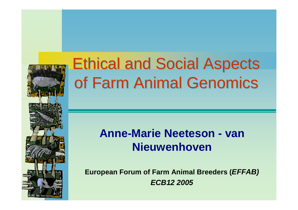

# Ethical and Social Aspects Ethical and Social Aspects of Farm Animal Genomics of Farm Animal Genomics

## **Anne-Marie Neeteson - van Nieuwenhoven**

**European Forum of Farm Animal Breeders (***EFFAB) ECB12 2005*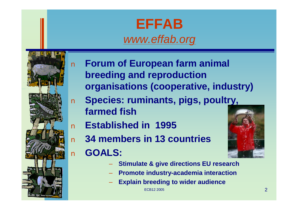## **EFFAB** *[www.effab.org](http://www.effab.org)*



- n **Forum of European farm animal breeding and reproduction organisations (cooperative, industry)**
- n **Species: ruminants, pigs, poultry, farmed fish**
- n **Established in 1995**
- n **34 members in 13 countries**
- n **GOALS:**



- **Stimulate & give directions EU research**
- **Promote industry-academia interaction**
- **Explain breeding to wider audience**

ECB12 2005  $\sim$  2005  $\sim$  2005  $\sim$  2007  $\sim$  2007  $\sim$  2007  $\sim$  2007  $\sim$  2007  $\sim$  2007  $\sim$  2007  $\sim$  2007  $\sim$  2007  $\sim$  2007  $\sim$  2007  $\sim$  2007  $\sim$  2007  $\sim$  2007  $\sim$  2007  $\sim$  2007  $\sim$  2007  $\sim$  2007  $\sim$  2007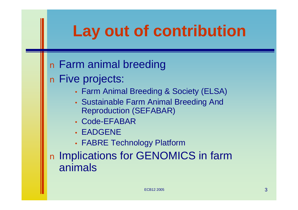# **Lay out of contribution**

## n Farm animal breeding

n Five projects:

- Farm Animal Breeding & Society (ELSA)
- Sustainable Farm Animal Breeding And Reproduction (SEFABAR)
- Code-EFABAR
- EADGENE
- FABRE Technology Platform

n Implications for GENOMICS in farm animals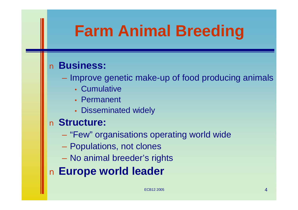# **Farm Animal Breeding**

### n **Business:**

– Improve genetic make-up of food producing animals

- Cumulative
- Permanent
- Disseminated widely

### n **Structure:**

- "Few" organisations operating world wide
- Populations, not clones
- No animal breeder's rights

n **Europe world leader**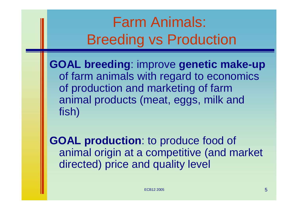# Farm Animals: Breeding vs Production

**GOAL breeding**: improve **genetic make-up** of farm animals with regard to economics of production and marketing of farm animal products (meat, eggs, milk and fish)

**GOAL production**: to produce food of animal origin at a competitive (and market directed) price and quality level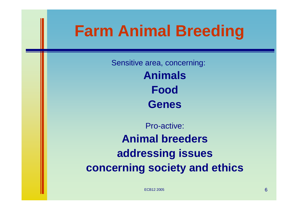# **Farm Animal Breeding**

Sensitive area, concerning: **Animals Food Genes**

Pro-active: **Animal breeders addressing issues concerning society and ethics**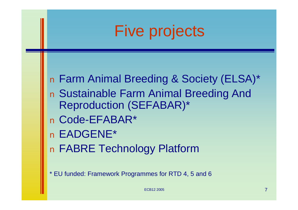# Five projects

n Farm Animal Breeding & Society (ELSA)\* n Sustainable Farm Animal Breeding And Reproduction (SEFABAR)\* n Code-EFABAR\* n EADGENE\* n FABRE Technology Platform

\* EU funded: Framework Programmes for RTD 4, 5 and 6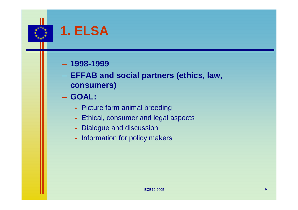

## **1. ELSA**

#### – **1998-1999**

- **EFFAB and social partners (ethics, law, consumers)**
- **GOAL:**
	- Picture farm animal breeding
	- Ethical, consumer and legal aspects
	- Dialogue and discussion
	- Information for policy makers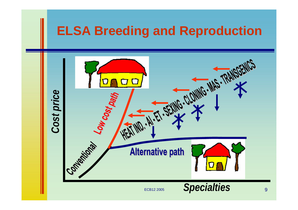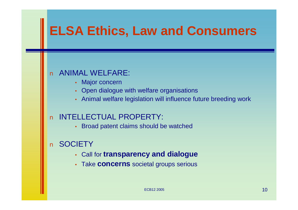## **ELSA Ethics, Law and Consumers**

#### n ANIMAL WELFARE:

- Major concern
- Open dialogue with welfare organisations
- Animal welfare legislation will influence future breeding work

#### n INTELLECTUAL PROPERTY:

• Broad patent claims should be watched

#### n SOCIETY

- Call for **transparency and dialogue**
- Take **concerns** societal groups serious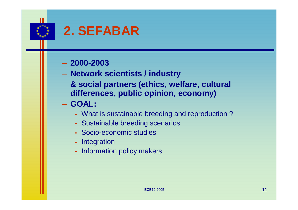

## **2. SEFABAR**

#### – **2000-2003**

– **Network scientists / industry & social partners (ethics, welfare, cultural differences, public opinion, economy)**

#### – **GOAL:**

- What is sustainable breeding and reproduction ?
- Sustainable breeding scenarios
- Socio-economic studies
- Integration
- Information policy makers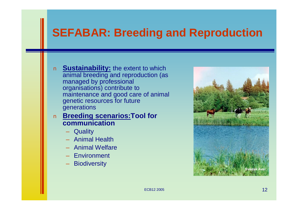## **SEFABAR: Breeding and Reproduction**

- n **Sustainability:** the extent to which animal breeding and reproduction (as managed by professional organisations) contribute to maintenance and good care of animal genetic resources for future generations
- n **Breeding scenarios:Tool for communication**
	- Quality
	- Animal Health
	- Animal Welfare
	- Environment
	- Biodiversity

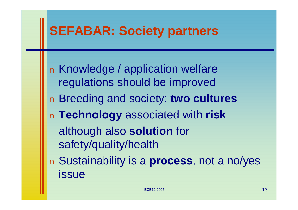## **SEFABAR: Society partners**

n Knowledge / application welfare regulations should be improved n Breeding and society: **two cultures** n **Technology** associated with **risk** although also **solution** for safety/quality/health n Sustainability is a **process**, not a no/yes issue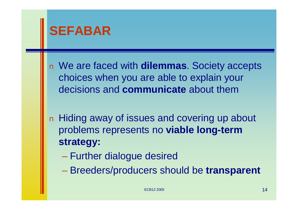

n We are faced with **dilemmas**. Society accepts choices when you are able to explain your decisions and **communicate** about them

n Hiding away of issues and covering up about problems represents no **viable long-term strategy:**

- Further dialogue desired
- Breeders/producers should be **transparent**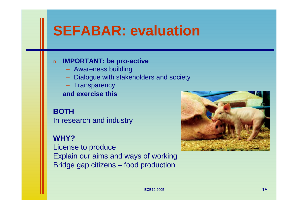# **SEFABAR: evaluation**

#### n **IMPORTANT: be pro-active**

- Awareness building
- Dialogue with stakeholders and society
- **Transparency**

**and exercise this**

#### **BOTH**

In research and industry

#### **WHY?**

License to produce Explain our aims and ways of working Bridge gap citizens – food production

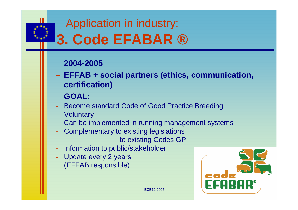Application in industry:

# **3. Code EFABAR ®**

#### – **2004-2005**

- **EFFAB + social partners (ethics, communication, certification)**
- **GOAL:**
- Become standard Code of Good Practice Breeding
- **Voluntary**
- Can be implemented in running management systems
- Complementary to existing legislations to existing Codes GP
- Information to public/stakeholder
- Update every 2 years (EFFAB responsible)

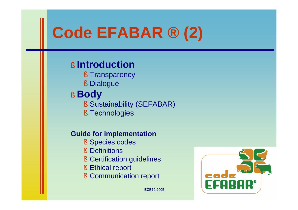# **Code EFABAR ® (2)**

### § **Introduction**

- § Transparency
- § Dialogue

## § **Body**

- § Sustainability (SEFABAR)
- § Technologies

#### **Guide for implementation**

- § Species codes
- § Definitions
- § Certification guidelines
- § Ethical report
- § Communication report

coda ECB12 2005  $\sqrt{2}$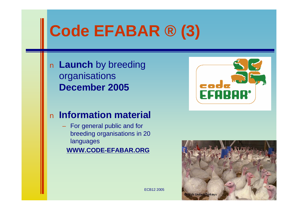# **Code EFABAR ® (3)**

n **Launch** by breeding organisations **December 2005**

### n **Information material**

– For general public and for breeding organisations in 20 languages

**[WWW.CODE-EFABAR.ORG](http://www.CODE-EFABAR.ORG)**



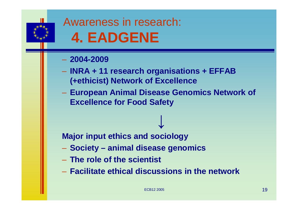

## Awareness in research: **4. EADGENE**

#### – **2004-2009**

- **INRA + 11 research organisations + EFFAB (+ethicist) Network of Excellence**
- **European Animal Disease Genomics Network of Excellence for Food Safety**

↓

**Major input ethics and sociology**

- **Society – animal disease genomics**
- **The role of the scientist**
- **Facilitate ethical discussions in the network**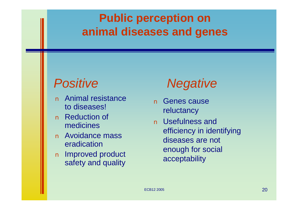## **Public perception on animal diseases and genes**

## *Positive*

- n Animal resistance to diseases!
- n Reduction of medicines
- n Avoidance mass eradication
- n Improved product safety and quality

## *Negative*

- n Genes cause reluctancy
- n Usefulness and efficiency in identifying diseases are not enough for social acceptability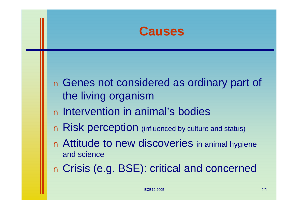

n Genes not considered as ordinary part of the living organism n Intervention in animal's bodies n Risk perception (influenced by culture and status) n Attitude to new discoveries in animal hygiene and science n Crisis (e.g. BSE): critical and concerned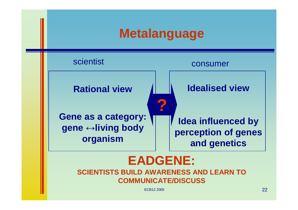## **Metalanguage**



### **EADGENE: SCIENTISTS BUILD AWARENESS AND LEARN TO COMMUNICATE/DISCUSS**

ECB12 2005  $\sim$  22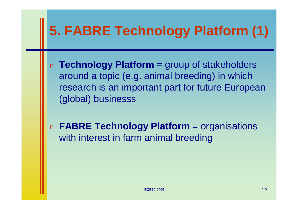# **5. FABRE Technology Platform (1)**

n **Technology Platform** = group of stakeholders around a topic (e.g. animal breeding) in which research is an important part for future European (global) businesss

n **FABRE Technology Platform** = organisations with interest in farm animal breeding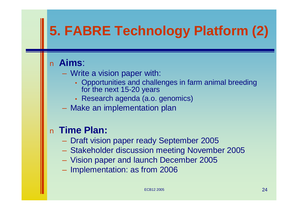# **5. FABRE Technology Platform (2)**

### n **Aims**:

- Write a vision paper with:
	- Opportunities and challenges in farm animal breeding for the next 15-20 years
	- Research agenda (a.o. genomics)
- Make an implementation plan

### n **Time Plan:**

- Draft vision paper ready September 2005
- Stakeholder discussion meeting November 2005
- Vision paper and launch December 2005
- Implementation: as from 2006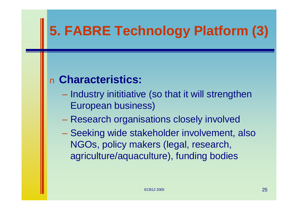# **5. FABRE Technology Platform (3)**

## n **Characteristics:**

- Industry inititiative (so that it will strengthen European business)
- Research organisations closely involved
- Seeking wide stakeholder involvement, also NGOs, policy makers (legal, research, agriculture/aquaculture), funding bodies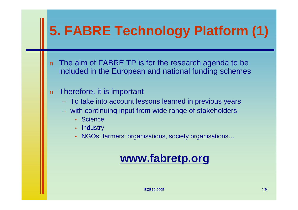# **5. FABRE Technology Platform (1)**

- n The aim of FABRE TP is for the research agenda to be included in the European and national funding schemes
- n Therefore, it is important
	- To take into account lessons learned in previous years
	- with continuing input from wide range of stakeholders:
		- Science
		- Industry
		- NGOs: farmers' organisations, society organisations...

## **[www.fabretp.org](http://www.fabretp.org)**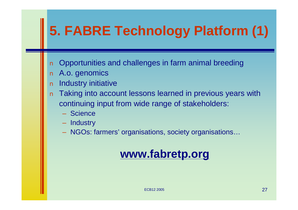# **5. FABRE Technology Platform (1)**

- n Opportunities and challenges in farm animal breeding
- n A.o. genomics
- n Industry initiative
- n Taking into account lessons learned in previous years with continuing input from wide range of stakeholders:
	- Science
	- Industry
	- NGOs: farmers' organisations, society organisations…

## **[www.fabretp.org](http://www.fabretp.org)**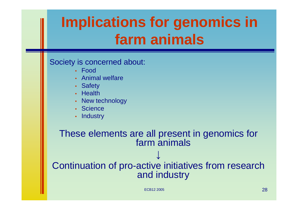# **Implications for genomics in farm animals**

#### Society is concerned about:

- Food
- Animal welfare
- Safety
- Health
- New technology
- Science
- Industry

#### These elements are all present in genomics for farm animals

**↓**

### Continuation of pro-active initiatives from research and industry